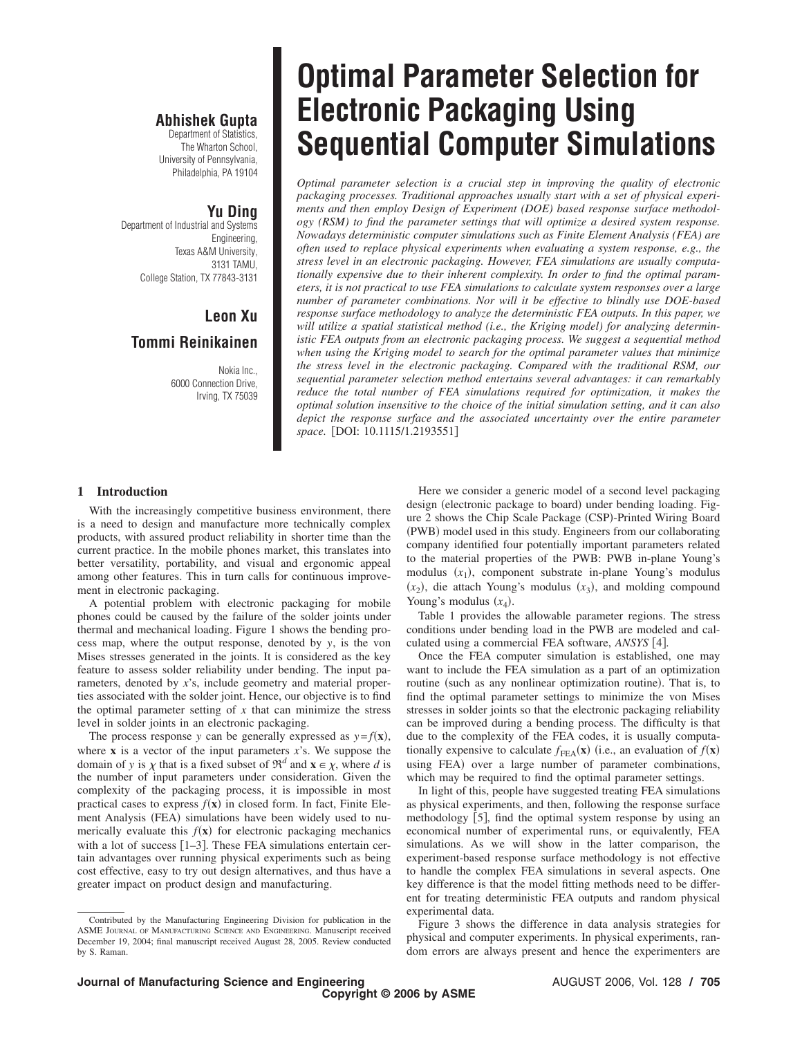# **Abhishek Gupta**

Department of Statistics, The Wharton School, University of Pennsylvania, Philadelphia, PA 19104

# **Yu Ding**

Department of Industrial and Systems Engineering, Texas A&M University, 3131 TAMU, College Station, TX 77843-3131

# **Leon Xu Tommi Reinikainen**

Nokia Inc., 6000 Connection Drive, Irving, TX 75039

# **Optimal Parameter Selection for Electronic Packaging Using Sequential Computer Simulations**

*Optimal parameter selection is a crucial step in improving the quality of electronic packaging processes. Traditional approaches usually start with a set of physical experiments and then employ Design of Experiment (DOE) based response surface methodology (RSM) to find the parameter settings that will optimize a desired system response. Nowadays deterministic computer simulations such as Finite Element Analysis (FEA) are often used to replace physical experiments when evaluating a system response, e.g., the stress level in an electronic packaging. However, FEA simulations are usually computationally expensive due to their inherent complexity. In order to find the optimal parameters, it is not practical to use FEA simulations to calculate system responses over a large number of parameter combinations. Nor will it be effective to blindly use DOE-based response surface methodology to analyze the deterministic FEA outputs. In this paper, we will utilize a spatial statistical method (i.e., the Kriging model) for analyzing deterministic FEA outputs from an electronic packaging process. We suggest a sequential method when using the Kriging model to search for the optimal parameter values that minimize the stress level in the electronic packaging. Compared with the traditional RSM, our sequential parameter selection method entertains several advantages: it can remarkably reduce the total number of FEA simulations required for optimization, it makes the optimal solution insensitive to the choice of the initial simulation setting, and it can also depict the response surface and the associated uncertainty over the entire parameter* space. [DOI: 10.1115/1.2193551]

# **1 Introduction**

With the increasingly competitive business environment, there is a need to design and manufacture more technically complex products, with assured product reliability in shorter time than the current practice. In the mobile phones market, this translates into better versatility, portability, and visual and ergonomic appeal among other features. This in turn calls for continuous improvement in electronic packaging.

A potential problem with electronic packaging for mobile phones could be caused by the failure of the solder joints under thermal and mechanical loading. Figure 1 shows the bending process map, where the output response, denoted by *y*, is the von Mises stresses generated in the joints. It is considered as the key feature to assess solder reliability under bending. The input parameters, denoted by *x*'s, include geometry and material properties associated with the solder joint. Hence, our objective is to find the optimal parameter setting of  $x$  that can minimize the stress level in solder joints in an electronic packaging.

The process response *y* can be generally expressed as  $y = f(\mathbf{x})$ , where **x** is a vector of the input parameters  $x$ 's. We suppose the domain of *y* is  $\chi$  that is a fixed subset of  $\mathfrak{R}^d$  and  $\mathbf{x} \in \chi$ , where *d* is the number of input parameters under consideration. Given the complexity of the packaging process, it is impossible in most practical cases to express  $f(\mathbf{x})$  in closed form. In fact, Finite Element Analysis (FEA) simulations have been widely used to numerically evaluate this  $f(\mathbf{x})$  for electronic packaging mechanics with a lot of success  $[1-3]$ . These FEA simulations entertain certain advantages over running physical experiments such as being cost effective, easy to try out design alternatives, and thus have a greater impact on product design and manufacturing.

Here we consider a generic model of a second level packaging design (electronic package to board) under bending loading. Figure 2 shows the Chip Scale Package CSP-Printed Wiring Board (PWB) model used in this study. Engineers from our collaborating company identified four potentially important parameters related to the material properties of the PWB: PWB in-plane Young's modulus  $(x_1)$ , component substrate in-plane Young's modulus  $(x_2)$ , die attach Young's modulus  $(x_3)$ , and molding compound Young's modulus  $(x_4)$ .

Table 1 provides the allowable parameter regions. The stress conditions under bending load in the PWB are modeled and calculated using a commercial FEA software, ANSYS [4].

Once the FEA computer simulation is established, one may want to include the FEA simulation as a part of an optimization routine (such as any nonlinear optimization routine). That is, to find the optimal parameter settings to minimize the von Mises stresses in solder joints so that the electronic packaging reliability can be improved during a bending process. The difficulty is that due to the complexity of the FEA codes, it is usually computationally expensive to calculate  $f_{\text{FEA}}(\mathbf{x})$  (i.e., an evaluation of  $f(\mathbf{x})$ ) using FEA) over a large number of parameter combinations, which may be required to find the optimal parameter settings.

In light of this, people have suggested treating FEA simulations as physical experiments, and then, following the response surface methodology [5], find the optimal system response by using an economical number of experimental runs, or equivalently, FEA simulations. As we will show in the latter comparison, the experiment-based response surface methodology is not effective to handle the complex FEA simulations in several aspects. One key difference is that the model fitting methods need to be different for treating deterministic FEA outputs and random physical experimental data.

Figure 3 shows the difference in data analysis strategies for physical and computer experiments. In physical experiments, random errors are always present and hence the experimenters are

Contributed by the Manufacturing Engineering Division for publication in the ASME JOURNAL OF MANUFACTURING SCIENCE AND ENGINEERING. Manuscript received December 19, 2004; final manuscript received August 28, 2005. Review conducted by S. Raman.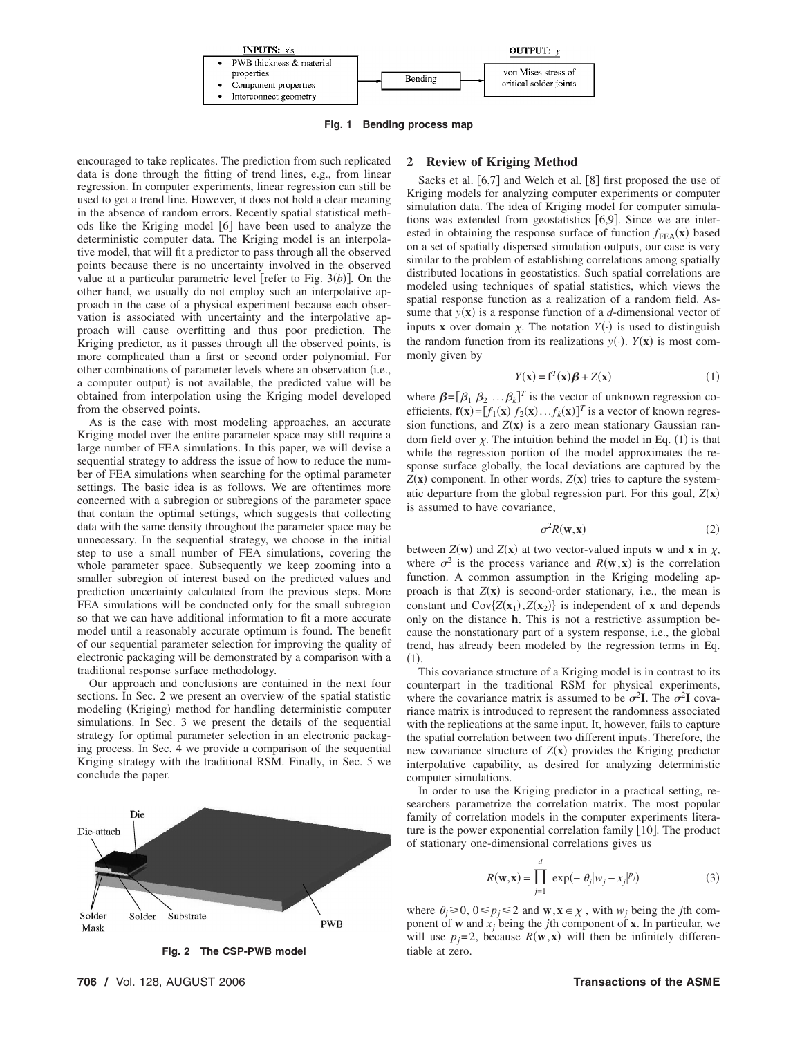

**Fig. 1 Bending process map**

encouraged to take replicates. The prediction from such replicated data is done through the fitting of trend lines, e.g., from linear regression. In computer experiments, linear regression can still be used to get a trend line. However, it does not hold a clear meaning in the absence of random errors. Recently spatial statistical methods like the Kriging model [6] have been used to analyze the deterministic computer data. The Kriging model is an interpolative model, that will fit a predictor to pass through all the observed points because there is no uncertainty involved in the observed value at a particular parametric level [refer to Fig.  $3(b)$ ]. On the other hand, we usually do not employ such an interpolative approach in the case of a physical experiment because each observation is associated with uncertainty and the interpolative approach will cause overfitting and thus poor prediction. The Kriging predictor, as it passes through all the observed points, is more complicated than a first or second order polynomial. For other combinations of parameter levels where an observation (i.e., a computer output) is not available, the predicted value will be obtained from interpolation using the Kriging model developed from the observed points.

As is the case with most modeling approaches, an accurate Kriging model over the entire parameter space may still require a large number of FEA simulations. In this paper, we will devise a sequential strategy to address the issue of how to reduce the number of FEA simulations when searching for the optimal parameter settings. The basic idea is as follows. We are oftentimes more concerned with a subregion or subregions of the parameter space that contain the optimal settings, which suggests that collecting data with the same density throughout the parameter space may be unnecessary. In the sequential strategy, we choose in the initial step to use a small number of FEA simulations, covering the whole parameter space. Subsequently we keep zooming into a smaller subregion of interest based on the predicted values and prediction uncertainty calculated from the previous steps. More FEA simulations will be conducted only for the small subregion so that we can have additional information to fit a more accurate model until a reasonably accurate optimum is found. The benefit of our sequential parameter selection for improving the quality of electronic packaging will be demonstrated by a comparison with a traditional response surface methodology.

Our approach and conclusions are contained in the next four sections. In Sec. 2 we present an overview of the spatial statistic modeling (Kriging) method for handling deterministic computer simulations. In Sec. 3 we present the details of the sequential strategy for optimal parameter selection in an electronic packaging process. In Sec. 4 we provide a comparison of the sequential Kriging strategy with the traditional RSM. Finally, in Sec. 5 we conclude the paper.



**Fig. 2 The CSP-PWB model**

#### **2 Review of Kriging Method**

Sacks et al. [6,7] and Welch et al. [8] first proposed the use of Kriging models for analyzing computer experiments or computer simulation data. The idea of Kriging model for computer simulations was extended from geostatistics [6,9]. Since we are interested in obtaining the response surface of function  $f_{\text{FEA}}(x)$  based on a set of spatially dispersed simulation outputs, our case is very similar to the problem of establishing correlations among spatially distributed locations in geostatistics. Such spatial correlations are modeled using techniques of spatial statistics, which views the spatial response function as a realization of a random field. Assume that  $y(x)$  is a response function of a *d*-dimensional vector of inputs **x** over domain  $\chi$ . The notation  $Y(\cdot)$  is used to distinguish the random function from its realizations  $y(.)$ .  $Y(x)$  is most commonly given by

$$
Y(\mathbf{x}) = \mathbf{f}^T(\mathbf{x})\boldsymbol{\beta} + Z(\mathbf{x})
$$
 (1)

where  $\boldsymbol{\beta} = [\beta_1 \ \beta_2 \ \dots \beta_k]^T$  is the vector of unknown regression coefficients,  $f(x) = [f_1(x) f_2(x) \dots f_k(x)]^T$  is a vector of known regression functions, and  $Z(x)$  is a zero mean stationary Gaussian random field over  $\chi$ . The intuition behind the model in Eq. (1) is that while the regression portion of the model approximates the response surface globally, the local deviations are captured by the  $Z(x)$  component. In other words,  $Z(x)$  tries to capture the systematic departure from the global regression part. For this goal,  $Z(x)$ is assumed to have covariance,

$$
\sigma^2 R(\mathbf{w}, \mathbf{x}) \tag{2}
$$

between  $Z(\mathbf{w})$  and  $Z(\mathbf{x})$  at two vector-valued inputs **w** and **x** in  $\chi$ , where  $\sigma^2$  is the process variance and  $R(\mathbf{w}, \mathbf{x})$  is the correlation function. A common assumption in the Kriging modeling approach is that  $Z(x)$  is second-order stationary, i.e., the mean is constant and  $Cov{Z(\mathbf{x}_1), Z(\mathbf{x}_2)}$  is independent of **x** and depends only on the distance **h**. This is not a restrictive assumption because the nonstationary part of a system response, i.e., the global trend, has already been modeled by the regression terms in Eq.  $(1).$ 

This covariance structure of a Kriging model is in contrast to its counterpart in the traditional RSM for physical experiments, where the covariance matrix is assumed to be  $\sigma^2 I$ . The  $\sigma^2 I$  covariance matrix is introduced to represent the randomness associated with the replications at the same input. It, however, fails to capture the spatial correlation between two different inputs. Therefore, the new covariance structure of  $Z(x)$  provides the Kriging predictor interpolative capability, as desired for analyzing deterministic computer simulations.

In order to use the Kriging predictor in a practical setting, researchers parametrize the correlation matrix. The most popular family of correlation models in the computer experiments literature is the power exponential correlation family [10]. The product of stationary one-dimensional correlations gives us

*d*

$$
R(\mathbf{w}, \mathbf{x}) = \prod_{j=1}^{a} \exp(-\theta_j |w_j - x_j|^{p_j})
$$
 (3)

where  $\theta_i \geq 0$ ,  $0 \leq p_j \leq 2$  and  $\mathbf{w}, \mathbf{x} \in \chi$ , with  $w_j$  being the *j*th component of **w** and  $x_j$  being the *j*th component of **x**. In particular, we will use  $p_j = 2$ , because  $R(\mathbf{w}, \mathbf{x})$  will then be infinitely differentiable at zero.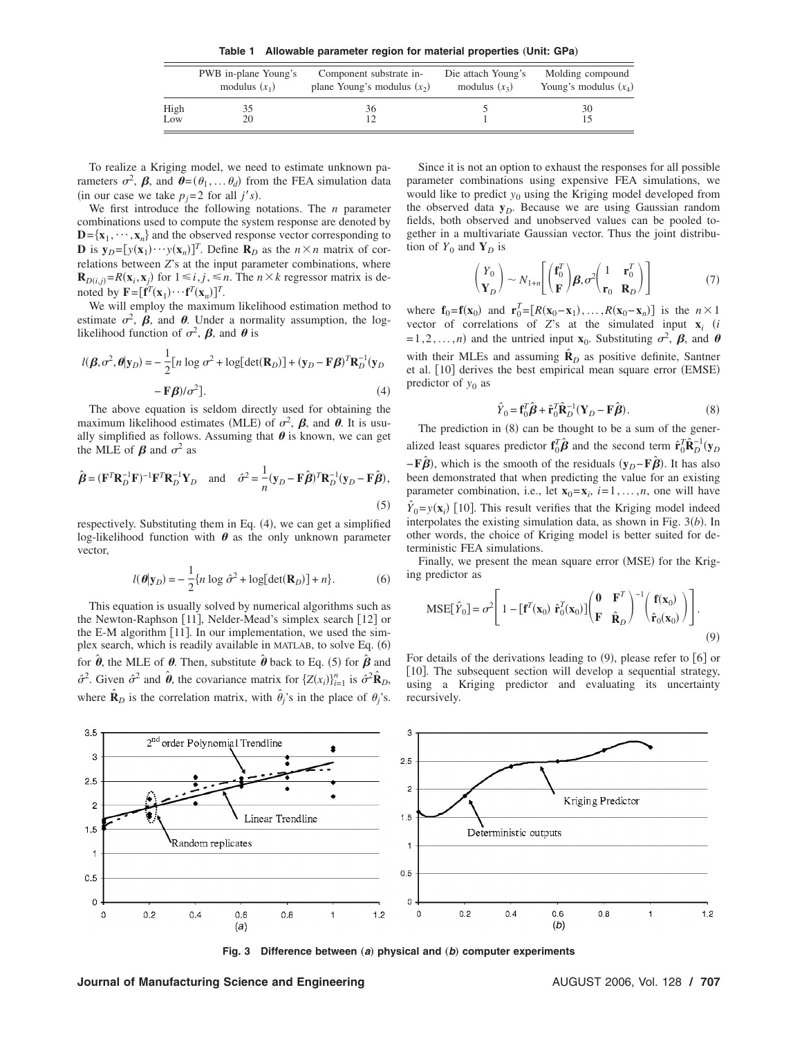Table 1 Allowable parameter region for material properties (Unit: GPa)

|             | PWB in-plane Young's | Component substrate in-       | Die attach Young's | Molding compound        |
|-------------|----------------------|-------------------------------|--------------------|-------------------------|
|             | modulus $(x_1)$      | plane Young's modulus $(x_2)$ | modulus $(x_3)$    | Young's modulus $(x_4)$ |
| High<br>Low | 20                   | 36                            |                    | 30                      |

To realize a Kriging model, we need to estimate unknown parameters  $\sigma^2$ ,  $\beta$ , and  $\theta = (\theta_1, \dots, \theta_d)$  from the FEA simulation data  $(in \text{ our case we take } p_j = 2 \text{ for all } j's).$ 

We first introduce the following notations. The *n* parameter combinations used to compute the system response are denoted by  $\mathbf{D} = \{\mathbf{x}_1, \cdots, \mathbf{x}_n\}$  and the observed response vector corresponding to **D** is  $\mathbf{y}_D = [y(\mathbf{x}_1) \cdots y(\mathbf{x}_n)]^T$ . Define  $\mathbf{R}_D$  as the  $n \times n$  matrix of correlations between *Z*'s at the input parameter combinations, where  $\mathbf{R}_{D(i,j)} = R(\mathbf{x}_i, \mathbf{x}_j)$  for  $1 \le i, j, \le n$ . The  $n \times k$  regressor matrix is denoted by  $\mathbf{F} = [\mathbf{f}^T(\mathbf{x}_1) \cdots \mathbf{f}^T(\mathbf{x}_n)]^T$ .

We will employ the maximum likelihood estimation method to estimate  $\sigma^2$ ,  $\beta$ , and  $\theta$ . Under a normality assumption, the loglikelihood function of  $\sigma^2$ ,  $\beta$ , and  $\theta$  is

$$
l(\boldsymbol{\beta}, \sigma^2, \boldsymbol{\theta} | \mathbf{y}_D) = -\frac{1}{2} [n \log \sigma^2 + \log[\det(\mathbf{R}_D)] + (\mathbf{y}_D - \mathbf{F} \boldsymbol{\beta})^T \mathbf{R}_D^{-1} (\mathbf{y}_D - \mathbf{F} \boldsymbol{\beta}) / \sigma^2].
$$
\n(4)

The above equation is seldom directly used for obtaining the maximum likelihood estimates (MLE) of  $\sigma^2$ ,  $\beta$ , and  $\theta$ . It is usually simplified as follows. Assuming that  $\theta$  is known, we can get the MLE of  $\beta$  and  $\sigma^2$  as

$$
\hat{\boldsymbol{\beta}} = (\mathbf{F}^T \mathbf{R}_D^{-1} \mathbf{F})^{-1} \mathbf{F}^T \mathbf{R}_D^{-1} \mathbf{Y}_D \quad \text{and} \quad \hat{\sigma}^2 = \frac{1}{n} (\mathbf{y}_D - \mathbf{F} \hat{\boldsymbol{\beta}})^T \mathbf{R}_D^{-1} (\mathbf{y}_D - \mathbf{F} \hat{\boldsymbol{\beta}}),
$$
\n(5)

respectively. Substituting them in Eq.  $(4)$ , we can get a simplified log-likelihood function with  $\theta$  as the only unknown parameter vector,

$$
l(\boldsymbol{\theta}|\mathbf{y}_D) = -\frac{1}{2}\{n \log \hat{\sigma}^2 + \log[\det(\mathbf{R}_D)] + n\}.
$$
 (6)

This equation is usually solved by numerical algorithms such as the Newton-Raphson [11], Nelder-Mead's simplex search [12] or the E-M algorithm [11]. In our implementation, we used the simplex search, which is readily available in MATLAB, to solve Eq.  $(6)$ for  $\hat{\theta}$ , the MLE of  $\theta$ . Then, substitute  $\hat{\theta}$  back to Eq. (5) for  $\hat{\beta}$  and  $\hat{\sigma}^2$ . Given  $\hat{\sigma}^2$  and  $\hat{\theta}$ , the covariance matrix for  $\{Z(x_i)\}_{i=1}^n$  is  $\hat{\sigma}^2 \hat{\mathbf{R}}_D$ , where  $\hat{\mathbf{R}}_D$  is the correlation matrix, with  $\hat{\theta}_j$ 's in the place of  $\theta_j$ 's.

Since it is not an option to exhaust the responses for all possible parameter combinations using expensive FEA simulations, we would like to predict  $y_0$  using the Kriging model developed from the observed data **y***D*. Because we are using Gaussian random fields, both observed and unobserved values can be pooled together in a multivariate Gaussian vector. Thus the joint distribution of  $Y_0$  and  $Y_D$  is

$$
\begin{pmatrix} Y_0 \\ Y_D \end{pmatrix} \sim N_{1+n} \begin{bmatrix} f_0^T \\ F \end{bmatrix} \boldsymbol{\beta}, \sigma^2 \begin{pmatrix} 1 & \mathbf{r}_0^T \\ \mathbf{r}_0 & \mathbf{R}_D \end{pmatrix}
$$
 (7)

where  $\mathbf{f}_0 = \mathbf{f}(\mathbf{x}_0)$  and  $\mathbf{r}_0^T = [R(\mathbf{x}_0 - \mathbf{x}_1), \dots, R(\mathbf{x}_0 - \mathbf{x}_n)]$  is the  $n \times 1$ vector of correlations of  $Z$ 's at the simulated input  $\mathbf{x}_i$  *(i)*  $=1,2,\ldots,n$  and the untried input **x**<sub>0</sub>. Substituting  $\sigma^2$ ,  $\beta$ , and  $\theta$ with their MLEs and assuming  $\mathbf{R}_D$  as positive definite, Santner et al. [10] derives the best empirical mean square error (EMSE) predictor of  $y_0$  as

$$
\hat{Y}_0 = \mathbf{f}_0^T \hat{\boldsymbol{\beta}} + \hat{\mathbf{r}}_0^T \hat{\mathbf{R}}_D^{-1} (\mathbf{Y}_D - \mathbf{F} \hat{\boldsymbol{\beta}}).
$$
\n(8)

The prediction in  $(8)$  can be thought to be a sum of the generalized least squares predictor  $\mathbf{f}_{0}^{T}\hat{\boldsymbol{\beta}}$  and the second term  $\hat{\mathbf{r}}_{0}^{T}\hat{\mathbf{R}}_{D}^{-1}(\mathbf{y}_{D}$ **−F**∂, which is the smooth of the residuals  $(\mathbf{y}_D - \mathbf{F}\hat{\boldsymbol{\beta}})$ . It has also been demonstrated that when predicting the value for an existing parameter combination, i.e., let  $\mathbf{x}_0 = \mathbf{x}_i$ ,  $i = 1, \ldots, n$ , one will have  $\hat{Y}_0 = y(\mathbf{x}_i)$  [10]. This result verifies that the Kriging model indeed interpolates the existing simulation data, as shown in Fig. 3*b*. In other words, the choice of Kriging model is better suited for deterministic FEA simulations.

Finally, we present the mean square error (MSE) for the Kriging predictor as

$$
MSE[\hat{Y}_0] = \sigma^2 \left[ 1 - [f^T(\mathbf{x}_0) \hat{\mathbf{r}}_0^T(\mathbf{x}_0)] \begin{pmatrix} \mathbf{0} & \mathbf{F}^T \\ \mathbf{F} & \hat{\mathbf{R}}_D \end{pmatrix}^{-1} \begin{pmatrix} \mathbf{f}(\mathbf{x}_0) \\ \hat{\mathbf{r}}_0(\mathbf{x}_0) \end{pmatrix} \right].
$$
\n(9)

For details of the derivations leading to  $(9)$ , please refer to  $[6]$  or [10]. The subsequent section will develop a sequential strategy, using a Kriging predictor and evaluating its uncertainty recursively.



Fig. 3 Difference between (a) physical and (b) computer experiments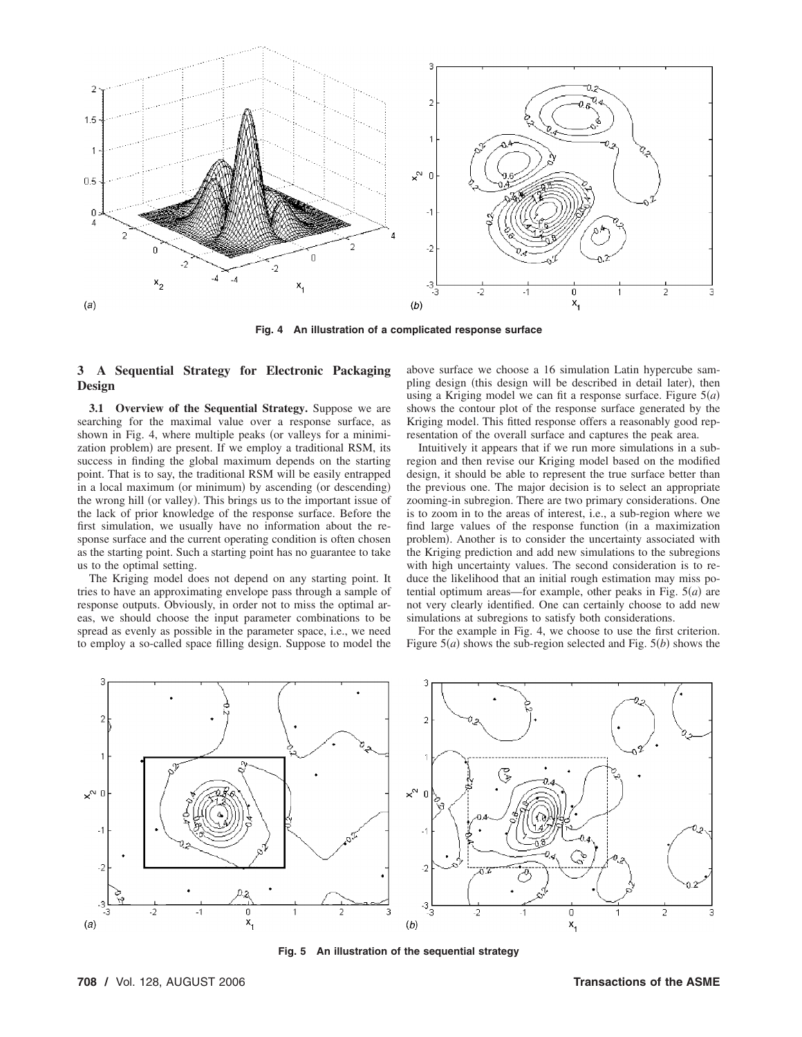

**Fig. 4 An illustration of a complicated response surface**

# **3 A Sequential Strategy for Electronic Packaging Design**

**3.1 Overview of the Sequential Strategy.** Suppose we are searching for the maximal value over a response surface, as shown in Fig. 4, where multiple peaks (or valleys for a minimization problem) are present. If we employ a traditional RSM, its success in finding the global maximum depends on the starting point. That is to say, the traditional RSM will be easily entrapped in a local maximum (or minimum) by ascending (or descending) the wrong hill (or valley). This brings us to the important issue of the lack of prior knowledge of the response surface. Before the first simulation, we usually have no information about the response surface and the current operating condition is often chosen as the starting point. Such a starting point has no guarantee to take us to the optimal setting.

The Kriging model does not depend on any starting point. It tries to have an approximating envelope pass through a sample of response outputs. Obviously, in order not to miss the optimal areas, we should choose the input parameter combinations to be spread as evenly as possible in the parameter space, i.e., we need to employ a so-called space filling design. Suppose to model the above surface we choose a 16 simulation Latin hypercube sampling design (this design will be described in detail later), then using a Kriging model we can fit a response surface. Figure 5*a* shows the contour plot of the response surface generated by the Kriging model. This fitted response offers a reasonably good representation of the overall surface and captures the peak area.

Intuitively it appears that if we run more simulations in a subregion and then revise our Kriging model based on the modified design, it should be able to represent the true surface better than the previous one. The major decision is to select an appropriate zooming-in subregion. There are two primary considerations. One is to zoom in to the areas of interest, i.e., a sub-region where we find large values of the response function (in a maximization problem). Another is to consider the uncertainty associated with the Kriging prediction and add new simulations to the subregions with high uncertainty values. The second consideration is to reduce the likelihood that an initial rough estimation may miss potential optimum areas—for example, other peaks in Fig.  $5(a)$  are not very clearly identified. One can certainly choose to add new simulations at subregions to satisfy both considerations.

For the example in Fig. 4, we choose to use the first criterion. Figure  $5(a)$  shows the sub-region selected and Fig.  $5(b)$  shows the



**Fig. 5 An illustration of the sequential strategy**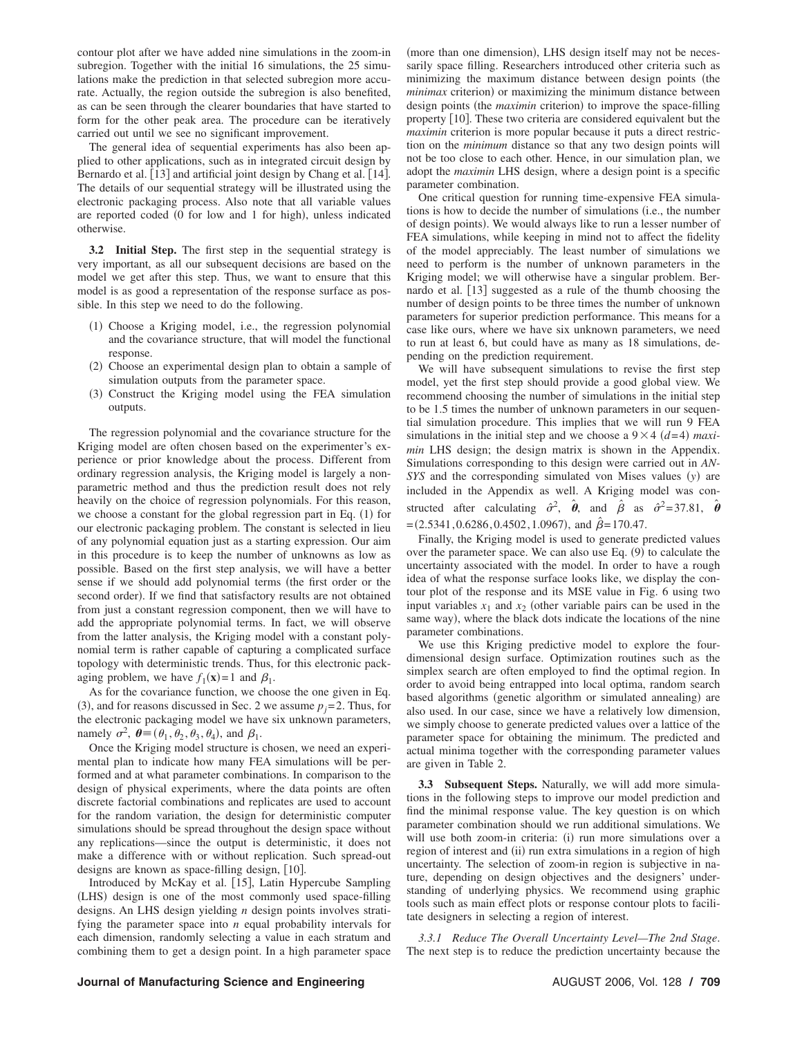contour plot after we have added nine simulations in the zoom-in subregion. Together with the initial 16 simulations, the 25 simulations make the prediction in that selected subregion more accurate. Actually, the region outside the subregion is also benefited, as can be seen through the clearer boundaries that have started to form for the other peak area. The procedure can be iteratively carried out until we see no significant improvement.

The general idea of sequential experiments has also been applied to other applications, such as in integrated circuit design by Bernardo et al. [13] and artificial joint design by Chang et al. [14]. The details of our sequential strategy will be illustrated using the electronic packaging process. Also note that all variable values are reported coded (0 for low and 1 for high), unless indicated otherwise.

**3.2 Initial Step.** The first step in the sequential strategy is very important, as all our subsequent decisions are based on the model we get after this step. Thus, we want to ensure that this model is as good a representation of the response surface as possible. In this step we need to do the following.

- 1 Choose a Kriging model, i.e., the regression polynomial and the covariance structure, that will model the functional response.
- 2 Choose an experimental design plan to obtain a sample of simulation outputs from the parameter space.
- 3 Construct the Kriging model using the FEA simulation outputs.

The regression polynomial and the covariance structure for the Kriging model are often chosen based on the experimenter's experience or prior knowledge about the process. Different from ordinary regression analysis, the Kriging model is largely a nonparametric method and thus the prediction result does not rely heavily on the choice of regression polynomials. For this reason, we choose a constant for the global regression part in Eq.  $(1)$  for our electronic packaging problem. The constant is selected in lieu of any polynomial equation just as a starting expression. Our aim in this procedure is to keep the number of unknowns as low as possible. Based on the first step analysis, we will have a better sense if we should add polynomial terms (the first order or the second order). If we find that satisfactory results are not obtained from just a constant regression component, then we will have to add the appropriate polynomial terms. In fact, we will observe from the latter analysis, the Kriging model with a constant polynomial term is rather capable of capturing a complicated surface topology with deterministic trends. Thus, for this electronic packaging problem, we have  $f_1(\mathbf{x}) = 1$  and  $\beta_1$ .

As for the covariance function, we choose the one given in Eq. (3), and for reasons discussed in Sec. 2 we assume  $p_j = 2$ . Thus, for the electronic packaging model we have six unknown parameters, namely  $\sigma^2$ ,  $\boldsymbol{\theta} = (\theta_1, \theta_2, \theta_3, \theta_4)$ , and  $\beta_1$ .

Once the Kriging model structure is chosen, we need an experimental plan to indicate how many FEA simulations will be performed and at what parameter combinations. In comparison to the design of physical experiments, where the data points are often discrete factorial combinations and replicates are used to account for the random variation, the design for deterministic computer simulations should be spread throughout the design space without any replications—since the output is deterministic, it does not make a difference with or without replication. Such spread-out designs are known as space-filling design, [10].

Introduced by McKay et al. [15], Latin Hypercube Sampling (LHS) design is one of the most commonly used space-filling designs. An LHS design yielding *n* design points involves stratifying the parameter space into *n* equal probability intervals for each dimension, randomly selecting a value in each stratum and combining them to get a design point. In a high parameter space

more than one dimension, LHS design itself may not be necessarily space filling. Researchers introduced other criteria such as minimizing the maximum distance between design points (the *minimax* criterion) or maximizing the minimum distance between design points (the *maximin* criterion) to improve the space-filling property [10]. These two criteria are considered equivalent but the *maximin* criterion is more popular because it puts a direct restriction on the *minimum* distance so that any two design points will not be too close to each other. Hence, in our simulation plan, we adopt the *maximin* LHS design, where a design point is a specific parameter combination.

One critical question for running time-expensive FEA simulations is how to decide the number of simulations (i.e., the number of design points). We would always like to run a lesser number of FEA simulations, while keeping in mind not to affect the fidelity of the model appreciably. The least number of simulations we need to perform is the number of unknown parameters in the Kriging model; we will otherwise have a singular problem. Bernardo et al. [13] suggested as a rule of the thumb choosing the number of design points to be three times the number of unknown parameters for superior prediction performance. This means for a case like ours, where we have six unknown parameters, we need to run at least 6, but could have as many as 18 simulations, depending on the prediction requirement.

We will have subsequent simulations to revise the first step model, yet the first step should provide a good global view. We recommend choosing the number of simulations in the initial step to be 1.5 times the number of unknown parameters in our sequential simulation procedure. This implies that we will run 9 FEA simulations in the initial step and we choose a  $9 \times 4$  ( $d=4$ ) *maximin* LHS design; the design matrix is shown in the Appendix. Simulations corresponding to this design were carried out in *AN-SYS* and the corresponding simulated von Mises values (y) are included in the Appendix as well. A Kriging model was constructed after calculating  $\hat{\sigma}^2$ ,  $\hat{\theta}$ , and  $\hat{\beta}$  as  $\hat{\sigma}^2 = 37.81$ ,  $\hat{\theta}$  $= (2.5341, 0.6286, 0.4502, 1.0967)$ , and  $\hat{\beta} = 170.47$ .

Finally, the Kriging model is used to generate predicted values over the parameter space. We can also use Eq.  $(9)$  to calculate the uncertainty associated with the model. In order to have a rough idea of what the response surface looks like, we display the contour plot of the response and its MSE value in Fig. 6 using two input variables  $x_1$  and  $x_2$  (other variable pairs can be used in the same way, where the black dots indicate the locations of the nine parameter combinations.

We use this Kriging predictive model to explore the fourdimensional design surface. Optimization routines such as the simplex search are often employed to find the optimal region. In order to avoid being entrapped into local optima, random search based algorithms (genetic algorithm or simulated annealing) are also used. In our case, since we have a relatively low dimension, we simply choose to generate predicted values over a lattice of the parameter space for obtaining the minimum. The predicted and actual minima together with the corresponding parameter values are given in Table 2.

**3.3 Subsequent Steps.** Naturally, we will add more simulations in the following steps to improve our model prediction and find the minimal response value. The key question is on which parameter combination should we run additional simulations. We will use both zoom-in criteria: (i) run more simulations over a region of interest and (ii) run extra simulations in a region of high uncertainty. The selection of zoom-in region is subjective in nature, depending on design objectives and the designers' understanding of underlying physics. We recommend using graphic tools such as main effect plots or response contour plots to facilitate designers in selecting a region of interest.

*3.3.1 Reduce The Overall Uncertainty Level—The 2nd Stage*. The next step is to reduce the prediction uncertainty because the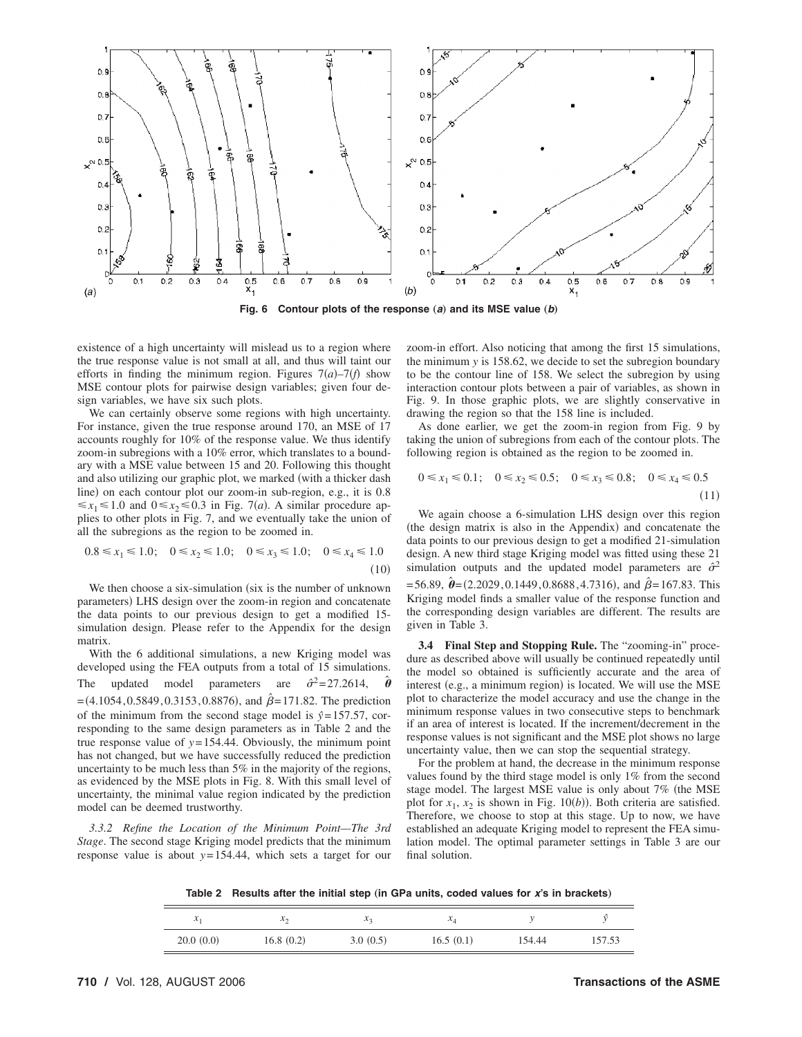

existence of a high uncertainty will mislead us to a region where the true response value is not small at all, and thus will taint our efforts in finding the minimum region. Figures  $7(a)$ – $7(f)$  show MSE contour plots for pairwise design variables; given four design variables, we have six such plots.

We can certainly observe some regions with high uncertainty. For instance, given the true response around 170, an MSE of 17 accounts roughly for 10% of the response value. We thus identify zoom-in subregions with a 10% error, which translates to a boundary with a MSE value between 15 and 20. Following this thought and also utilizing our graphic plot, we marked (with a thicker dash line) on each contour plot our zoom-in sub-region, e.g., it is 0.8  $\leq x_1 \leq 1.0$  and  $0 \leq x_2 \leq 0.3$  in Fig. 7*(a)*. A similar procedure applies to other plots in Fig. 7, and we eventually take the union of all the subregions as the region to be zoomed in.

$$
0.8 \le x_1 \le 1.0; \quad 0 \le x_2 \le 1.0; \quad 0 \le x_3 \le 1.0; \quad 0 \le x_4 \le 1.0
$$
\n
$$
(10)
$$

We then choose a six-simulation (six is the number of unknown parameters) LHS design over the zoom-in region and concatenate the data points to our previous design to get a modified 15 simulation design. Please refer to the Appendix for the design matrix.

With the 6 additional simulations, a new Kriging model was developed using the FEA outputs from a total of 15 simulations. The updated model parameters are  $\hat{\sigma}^2 = 27.2614$ , ˆ  $=(4.1054, 0.5849, 0.3153, 0.8876)$ , and  $\hat{\beta}$  = 171.82. The prediction of the minimum from the second stage model is  $\hat{y} = 157.57$ , corresponding to the same design parameters as in Table 2 and the true response value of  $y=154.44$ . Obviously, the minimum point has not changed, but we have successfully reduced the prediction uncertainty to be much less than 5% in the majority of the regions, as evidenced by the MSE plots in Fig. 8. With this small level of uncertainty, the minimal value region indicated by the prediction model can be deemed trustworthy.

*3.3.2 Refine the Location of the Minimum Point—The 3rd Stage*. The second stage Kriging model predicts that the minimum response value is about *y*=154.44, which sets a target for our zoom-in effort. Also noticing that among the first 15 simulations, the minimum *y* is 158.62, we decide to set the subregion boundary to be the contour line of 158. We select the subregion by using interaction contour plots between a pair of variables, as shown in Fig. 9. In those graphic plots, we are slightly conservative in drawing the region so that the 158 line is included.

As done earlier, we get the zoom-in region from Fig. 9 by taking the union of subregions from each of the contour plots. The following region is obtained as the region to be zoomed in.

$$
0 \le x_1 \le 0.1; \quad 0 \le x_2 \le 0.5; \quad 0 \le x_3 \le 0.8; \quad 0 \le x_4 \le 0.5
$$
\n
$$
(11)
$$

We again choose a 6-simulation LHS design over this region (the design matrix is also in the Appendix) and concatenate the data points to our previous design to get a modified 21-simulation design. A new third stage Kriging model was fitted using these 21 simulation outputs and the updated model parameters are  $\hat{\sigma}^2$  $=$  56.89,  $\hat{\theta}$  = (2.2029, 0.1449, 0.8688, 4.7316), and  $\hat{\beta}$  = 167.83. This Kriging model finds a smaller value of the response function and the corresponding design variables are different. The results are given in Table 3.

**3.4 Final Step and Stopping Rule.** The "zooming-in" procedure as described above will usually be continued repeatedly until the model so obtained is sufficiently accurate and the area of interest (e.g., a minimum region) is located. We will use the MSE plot to characterize the model accuracy and use the change in the minimum response values in two consecutive steps to benchmark if an area of interest is located. If the increment/decrement in the response values is not significant and the MSE plot shows no large uncertainty value, then we can stop the sequential strategy.

For the problem at hand, the decrease in the minimum response values found by the third stage model is only 1% from the second stage model. The largest MSE value is only about 7% (the MSE plot for  $x_1$ ,  $x_2$  is shown in Fig. 10*(b)*). Both criteria are satisfied. Therefore, we choose to stop at this stage. Up to now, we have established an adequate Kriging model to represent the FEA simulation model. The optimal parameter settings in Table 3 are our final solution.

Table 2 Results after the initial step (in GPa units, coded values for  $x$ 's in brackets)

| $\mathcal{A}$ : | スつ        | $\mathcal{X}_3$ | $\lambda_A$ |        |        |
|-----------------|-----------|-----------------|-------------|--------|--------|
| 20.0(0.0)       | 16.8(0.2) | 3.0(0.5)        | 16.5(0.1)   | 154.44 | 157.53 |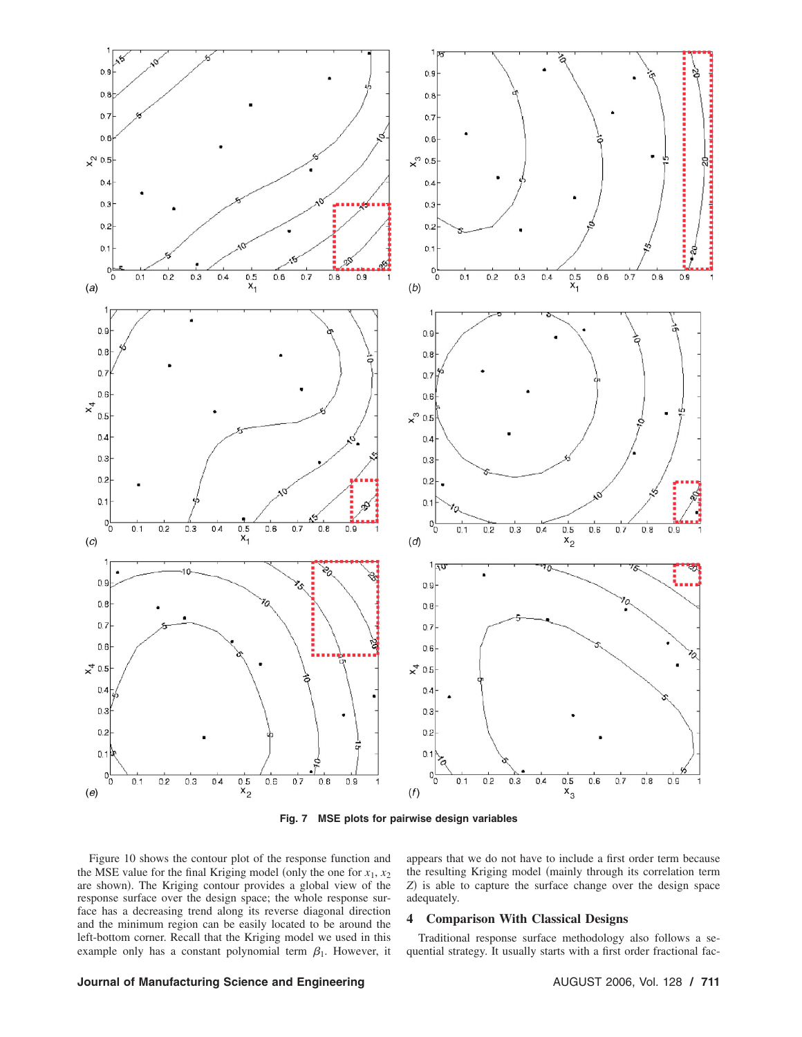

**Fig. 7 MSE plots for pairwise design variables**

Figure 10 shows the contour plot of the response function and the MSE value for the final Kriging model (only the one for  $x_1, x_2$ ) are shown). The Kriging contour provides a global view of the response surface over the design space; the whole response surface has a decreasing trend along its reverse diagonal direction and the minimum region can be easily located to be around the left-bottom corner. Recall that the Kriging model we used in this example only has a constant polynomial term  $\beta_1$ . However, it

appears that we do not have to include a first order term because the resulting Kriging model (mainly through its correlation term *Z*) is able to capture the surface change over the design space adequately.

# **4 Comparison With Classical Designs**

Traditional response surface methodology also follows a sequential strategy. It usually starts with a first order fractional fac-

### **Journal of Manufacturing Science and Engineering Manufacturing AUGUST 2006, Vol. 128 / 711**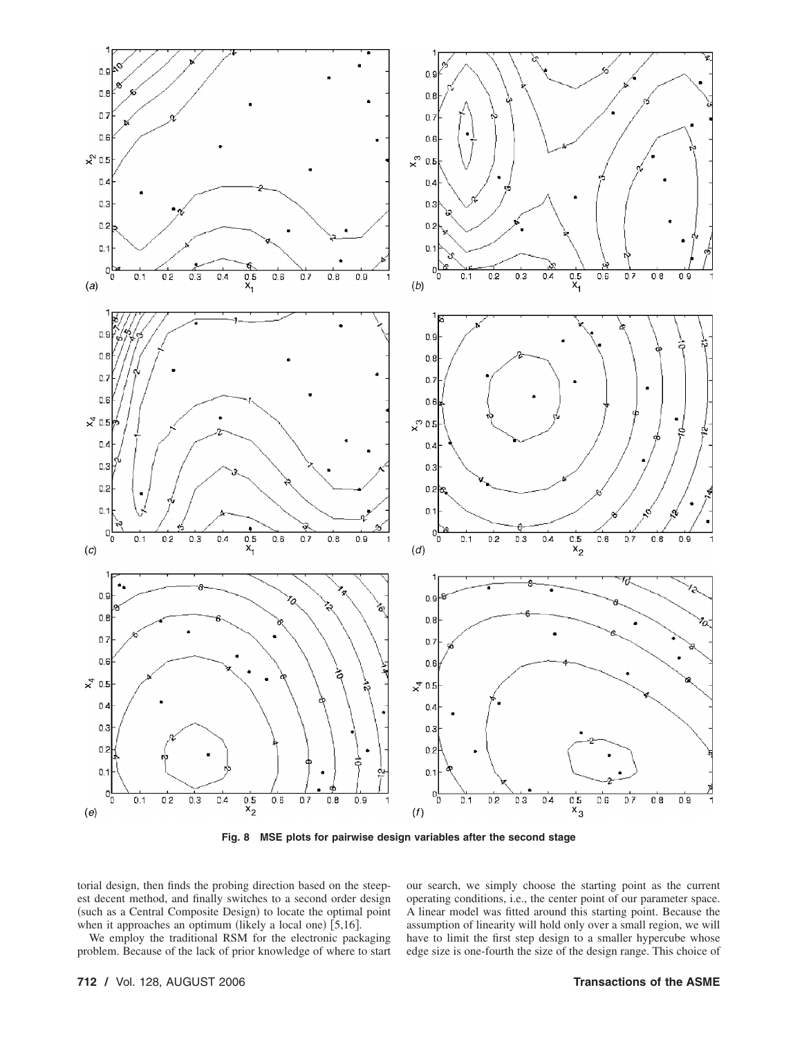

**Fig. 8 MSE plots for pairwise design variables after the second stage**

torial design, then finds the probing direction based on the steepest decent method, and finally switches to a second order design (such as a Central Composite Design) to locate the optimal point when it approaches an optimum (likely a local one) [5,16].

We employ the traditional RSM for the electronic packaging problem. Because of the lack of prior knowledge of where to start our search, we simply choose the starting point as the current operating conditions, i.e., the center point of our parameter space. A linear model was fitted around this starting point. Because the assumption of linearity will hold only over a small region, we will have to limit the first step design to a smaller hypercube whose edge size is one-fourth the size of the design range. This choice of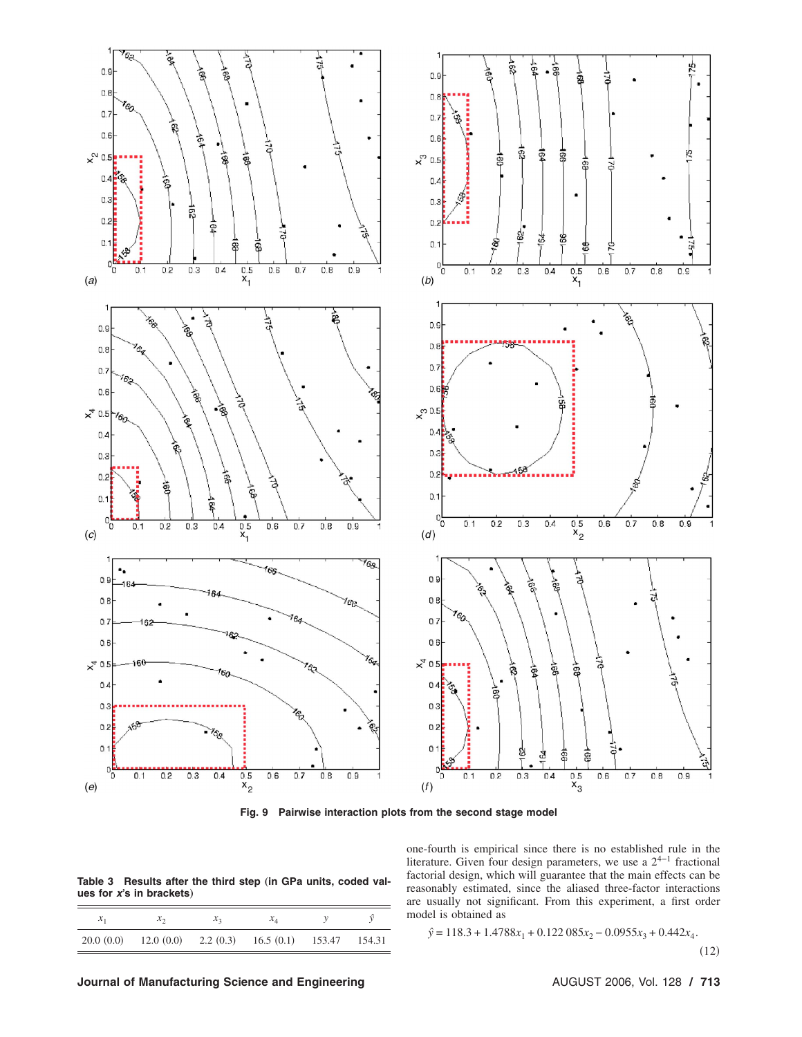

**Fig. 9 Pairwise interaction plots from the second stage model**

Table 3 Results after the third step (in GPa units, coded val**ues for** *x***'s in brackets**…

| $\chi_1$ | $x_2$ | $\chi_2$ | $\mathcal{X}_A$                                                  |  |
|----------|-------|----------|------------------------------------------------------------------|--|
|          |       |          | $20.0(0.0)$ $12.0(0.0)$ $2.2(0.3)$ $16.5(0.1)$ $153.47$ $154.31$ |  |

one-fourth is empirical since there is no established rule in the literature. Given four design parameters, we use a  $2^{4-1}$  fractional factorial design, which will guarantee that the main effects can be reasonably estimated, since the aliased three-factor interactions are usually not significant. From this experiment, a first order model is obtained as

$$
\hat{y} = 118.3 + 1.4788x_1 + 0.122085x_2 - 0.0955x_3 + 0.442x_4.
$$

$$
(12)
$$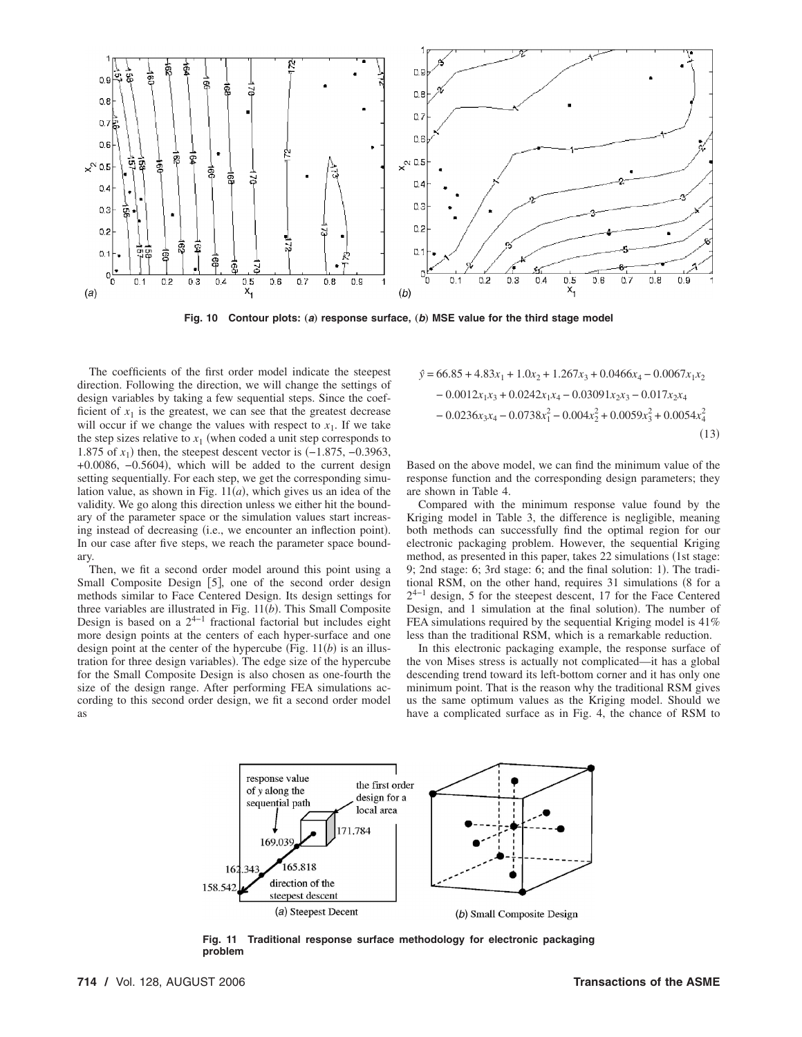

Fig. 10 Contour plots: (a) response surface, (b) MSE value for the third stage model

The coefficients of the first order model indicate the steepest direction. Following the direction, we will change the settings of design variables by taking a few sequential steps. Since the coefficient of  $x_1$  is the greatest, we can see that the greatest decrease will occur if we change the values with respect to  $x_1$ . If we take the step sizes relative to  $x_1$  (when coded a unit step corresponds to 1.875 of  $x_1$ ) then, the steepest descent vector is  $(-1.875, -0.3963,$ +0.0086, −0.5604, which will be added to the current design setting sequentially. For each step, we get the corresponding simulation value, as shown in Fig.  $11(a)$ , which gives us an idea of the validity. We go along this direction unless we either hit the boundary of the parameter space or the simulation values start increasing instead of decreasing (i.e., we encounter an inflection point). In our case after five steps, we reach the parameter space boundary.

Then, we fit a second order model around this point using a Small Composite Design [5], one of the second order design methods similar to Face Centered Design. Its design settings for three variables are illustrated in Fig.  $11(b)$ . This Small Composite Design is based on a  $2^{4-1}$  fractional factorial but includes eight more design points at the centers of each hyper-surface and one design point at the center of the hypercube (Fig.  $11(b)$  is an illustration for three design variables). The edge size of the hypercube for the Small Composite Design is also chosen as one-fourth the size of the design range. After performing FEA simulations according to this second order design, we fit a second order model as

$$
\hat{y} = 66.85 + 4.83x_1 + 1.0x_2 + 1.267x_3 + 0.0466x_4 - 0.0067x_1x_2 \n- 0.0012x_1x_3 + 0.0242x_1x_4 - 0.03091x_2x_3 - 0.017x_2x_4 \n- 0.0236x_3x_4 - 0.0738x_1^2 - 0.004x_2^2 + 0.0059x_3^2 + 0.0054x_4^2
$$
\n(13)

Based on the above model, we can find the minimum value of the response function and the corresponding design parameters; they are shown in Table 4.

Compared with the minimum response value found by the Kriging model in Table 3, the difference is negligible, meaning both methods can successfully find the optimal region for our electronic packaging problem. However, the sequential Kriging method, as presented in this paper, takes 22 simulations (1st stage: 9; 2nd stage: 6; 3rd stage: 6; and the final solution: 1). The traditional RSM, on the other hand, requires 31 simulations (8 for a 2<sup>4−1</sup> design, 5 for the steepest descent, 17 for the Face Centered Design, and 1 simulation at the final solution). The number of FEA simulations required by the sequential Kriging model is  $41\%$ less than the traditional RSM, which is a remarkable reduction.

In this electronic packaging example, the response surface of the von Mises stress is actually not complicated—it has a global descending trend toward its left-bottom corner and it has only one minimum point. That is the reason why the traditional RSM gives us the same optimum values as the Kriging model. Should we have a complicated surface as in Fig. 4, the chance of RSM to



**Fig. 11 Traditional response surface methodology for electronic packaging problem**